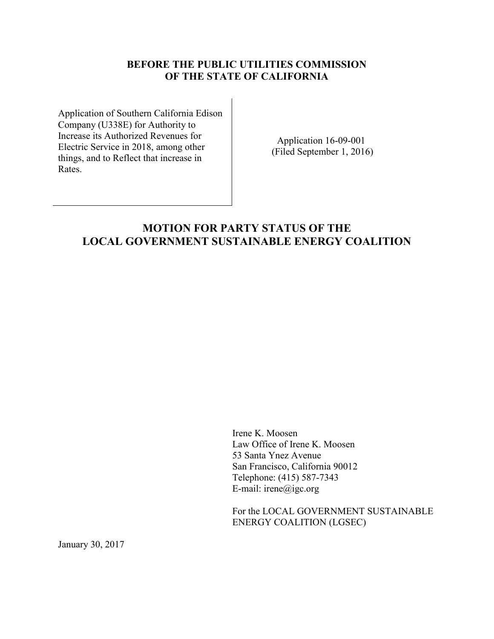## **BEFORE THE PUBLIC UTILITIES COMMISSION OF THE STATE OF CALIFORNIA**

Application of Southern California Edison Company (U338E) for Authority to Increase its Authorized Revenues for Electric Service in 2018, among other things, and to Reflect that increase in Rates.

Application 16-09-001 (Filed September 1, 2016)

## **MOTION FOR PARTY STATUS OF THE LOCAL GOVERNMENT SUSTAINABLE ENERGY COALITION**

Irene K. Moosen Law Office of Irene K. Moosen 53 Santa Ynez Avenue San Francisco, California 90012 Telephone: (415) 587-7343 E-mail: irene@igc.org

For the LOCAL GOVERNMENT SUSTAINABLE ENERGY COALITION (LGSEC)

January 30, 2017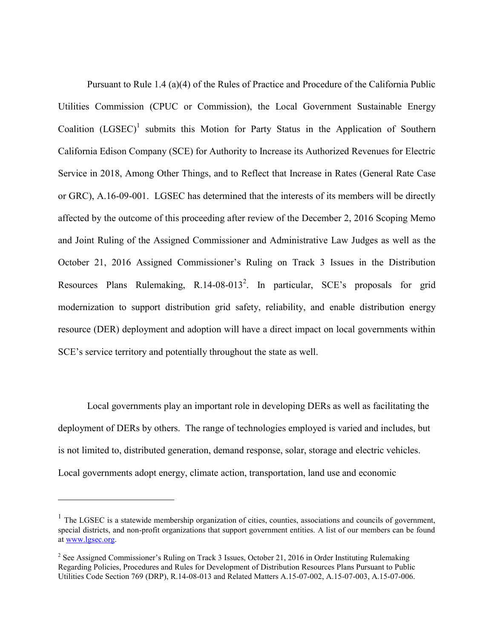Pursuant to Rule 1.4 (a)(4) of the Rules of Practice and Procedure of the California Public Utilities Commission (CPUC or Commission), the Local Government Sustainable Energy Coalition  $(LGSEC)^1$  submits this Motion for Party Status in the Application of Southern California Edison Company (SCE) for Authority to Increase its Authorized Revenues for Electric Service in 2018, Among Other Things, and to Reflect that Increase in Rates (General Rate Case or GRC), A.16-09-001. LGSEC has determined that the interests of its members will be directly affected by the outcome of this proceeding after review of the December 2, 2016 Scoping Memo and Joint Ruling of the Assigned Commissioner and Administrative Law Judges as well as the October 21, 2016 Assigned Commissioner's Ruling on Track 3 Issues in the Distribution Resources Plans Rulemaking, R.14-08-013<sup>2</sup>. In particular, SCE's proposals for grid modernization to support distribution grid safety, reliability, and enable distribution energy resource (DER) deployment and adoption will have a direct impact on local governments within SCE's service territory and potentially throughout the state as well.

Local governments play an important role in developing DERs as well as facilitating the deployment of DERs by others. The range of technologies employed is varied and includes, but is not limited to, distributed generation, demand response, solar, storage and electric vehicles. Local governments adopt energy, climate action, transportation, land use and economic

 $\overline{a}$ 

 $<sup>1</sup>$  The LGSEC is a statewide membership organization of cities, counties, associations and councils of government,</sup> special districts, and non-profit organizations that support government entities. A list of our members can be found a[t www.lgsec.org.](http://www.lgsec.org/)

<sup>&</sup>lt;sup>2</sup> See Assigned Commissioner's Ruling on Track 3 Issues, October 21, 2016 in Order Instituting Rulemaking Regarding Policies, Procedures and Rules for Development of Distribution Resources Plans Pursuant to Public Utilities Code Section 769 (DRP), R.14-08-013 and Related Matters A.15-07-002, A.15-07-003, A.15-07-006.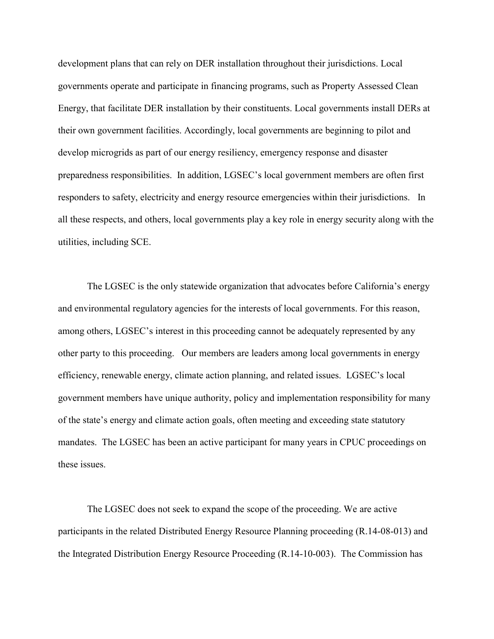development plans that can rely on DER installation throughout their jurisdictions. Local governments operate and participate in financing programs, such as Property Assessed Clean Energy, that facilitate DER installation by their constituents. Local governments install DERs at their own government facilities. Accordingly, local governments are beginning to pilot and develop microgrids as part of our energy resiliency, emergency response and disaster preparedness responsibilities. In addition, LGSEC's local government members are often first responders to safety, electricity and energy resource emergencies within their jurisdictions. In all these respects, and others, local governments play a key role in energy security along with the utilities, including SCE.

The LGSEC is the only statewide organization that advocates before California's energy and environmental regulatory agencies for the interests of local governments. For this reason, among others, LGSEC's interest in this proceeding cannot be adequately represented by any other party to this proceeding. Our members are leaders among local governments in energy efficiency, renewable energy, climate action planning, and related issues. LGSEC's local government members have unique authority, policy and implementation responsibility for many of the state's energy and climate action goals, often meeting and exceeding state statutory mandates. The LGSEC has been an active participant for many years in CPUC proceedings on these issues.

The LGSEC does not seek to expand the scope of the proceeding. We are active participants in the related Distributed Energy Resource Planning proceeding (R.14-08-013) and the Integrated Distribution Energy Resource Proceeding (R.14-10-003). The Commission has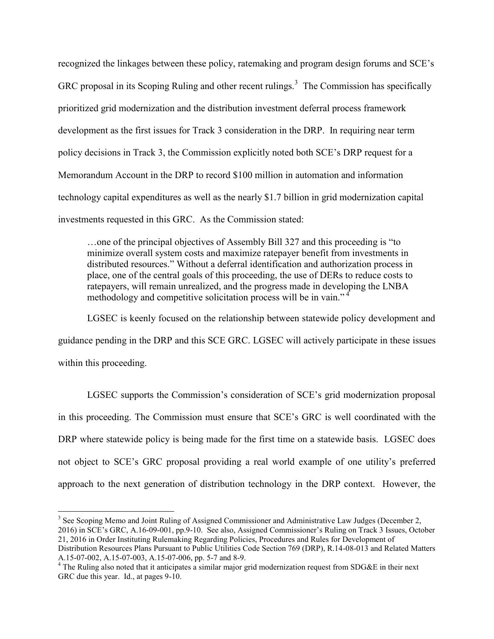recognized the linkages between these policy, ratemaking and program design forums and SCE's GRC proposal in its Scoping Ruling and other recent rulings.<sup>3</sup> The Commission has specifically prioritized grid modernization and the distribution investment deferral process framework development as the first issues for Track 3 consideration in the DRP. In requiring near term policy decisions in Track 3, the Commission explicitly noted both SCE's DRP request for a Memorandum Account in the DRP to record \$100 million in automation and information technology capital expenditures as well as the nearly \$1.7 billion in grid modernization capital investments requested in this GRC. As the Commission stated:

…one of the principal objectives of Assembly Bill 327 and this proceeding is "to minimize overall system costs and maximize ratepayer benefit from investments in distributed resources." Without a deferral identification and authorization process in place, one of the central goals of this proceeding, the use of DERs to reduce costs to ratepayers, will remain unrealized, and the progress made in developing the LNBA methodology and competitive solicitation process will be in vain."<sup>4</sup>

LGSEC is keenly focused on the relationship between statewide policy development and guidance pending in the DRP and this SCE GRC. LGSEC will actively participate in these issues within this proceeding.

LGSEC supports the Commission's consideration of SCE's grid modernization proposal in this proceeding. The Commission must ensure that SCE's GRC is well coordinated with the DRP where statewide policy is being made for the first time on a statewide basis. LGSEC does not object to SCE's GRC proposal providing a real world example of one utility's preferred approach to the next generation of distribution technology in the DRP context. However, the

 $\overline{a}$  $3$  See Scoping Memo and Joint Ruling of Assigned Commissioner and Administrative Law Judges (December 2, 2016) in SCE's GRC, A.16-09-001, pp.9-10. See also, Assigned Commissioner's Ruling on Track 3 Issues, October 21, 2016 in Order Instituting Rulemaking Regarding Policies, Procedures and Rules for Development of

Distribution Resources Plans Pursuant to Public Utilities Code Section 769 (DRP), R.14-08-013 and Related Matters A.15-07-002, A.15-07-003, A.15-07-006, pp. 5-7 and 8-9.

<sup>&</sup>lt;sup>4</sup> The Ruling also noted that it anticipates a similar major grid modernization request from SDG&E in their next GRC due this year. Id., at pages 9-10.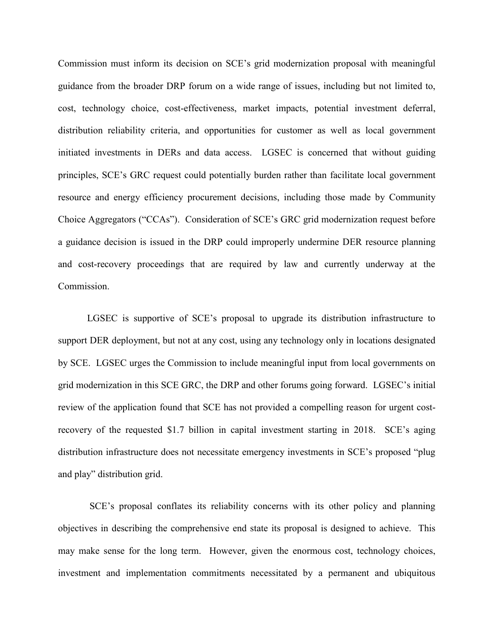Commission must inform its decision on SCE's grid modernization proposal with meaningful guidance from the broader DRP forum on a wide range of issues, including but not limited to, cost, technology choice, cost-effectiveness, market impacts, potential investment deferral, distribution reliability criteria, and opportunities for customer as well as local government initiated investments in DERs and data access. LGSEC is concerned that without guiding principles, SCE's GRC request could potentially burden rather than facilitate local government resource and energy efficiency procurement decisions, including those made by Community Choice Aggregators ("CCAs"). Consideration of SCE's GRC grid modernization request before a guidance decision is issued in the DRP could improperly undermine DER resource planning and cost-recovery proceedings that are required by law and currently underway at the Commission.

LGSEC is supportive of SCE's proposal to upgrade its distribution infrastructure to support DER deployment, but not at any cost, using any technology only in locations designated by SCE. LGSEC urges the Commission to include meaningful input from local governments on grid modernization in this SCE GRC, the DRP and other forums going forward. LGSEC's initial review of the application found that SCE has not provided a compelling reason for urgent costrecovery of the requested \$1.7 billion in capital investment starting in 2018. SCE's aging distribution infrastructure does not necessitate emergency investments in SCE's proposed "plug and play" distribution grid.

SCE's proposal conflates its reliability concerns with its other policy and planning objectives in describing the comprehensive end state its proposal is designed to achieve. This may make sense for the long term. However, given the enormous cost, technology choices, investment and implementation commitments necessitated by a permanent and ubiquitous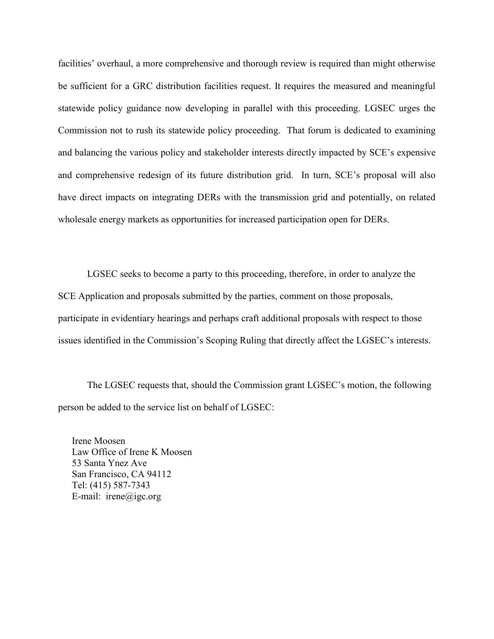facilities' overhaul, a more comprehensive and thorough review is required than might otherwise be sufficient for a GRC distribution facilities request. It requires the measured and meaningful statewide policy guidance now developing in parallel with this proceeding. LGSEC urges the Commission not to rush its statewide policy proceeding. That forum is dedicated to examining and balancing the various policy and stakeholder interests directly impacted by SCE's expensive and comprehensive redesign of its future distribution grid. In turn, SCE's proposal will also have direct impacts on integrating DERs with the transmission grid and potentially, on related wholesale energy markets as opportunities for increased participation open for DERs.

LGSEC seeks to become a party to this proceeding, therefore, in order to analyze the SCE Application and proposals submitted by the parties, comment on those proposals, participate in evidentiary hearings and perhaps craft additional proposals with respect to those issues identified in the Commission's Scoping Ruling that directly affect the LGSEC's interests.

The LGSEC requests that, should the Commission grant LGSEC's motion, the following person be added to the service list on behalf of LGSEC:

Irene Moosen Law Office of Irene K Moosen 53 Santa Ynez Ave San Francisco, CA 94112 Tel: (415) 587-7343 E-mail: irene@igc.org